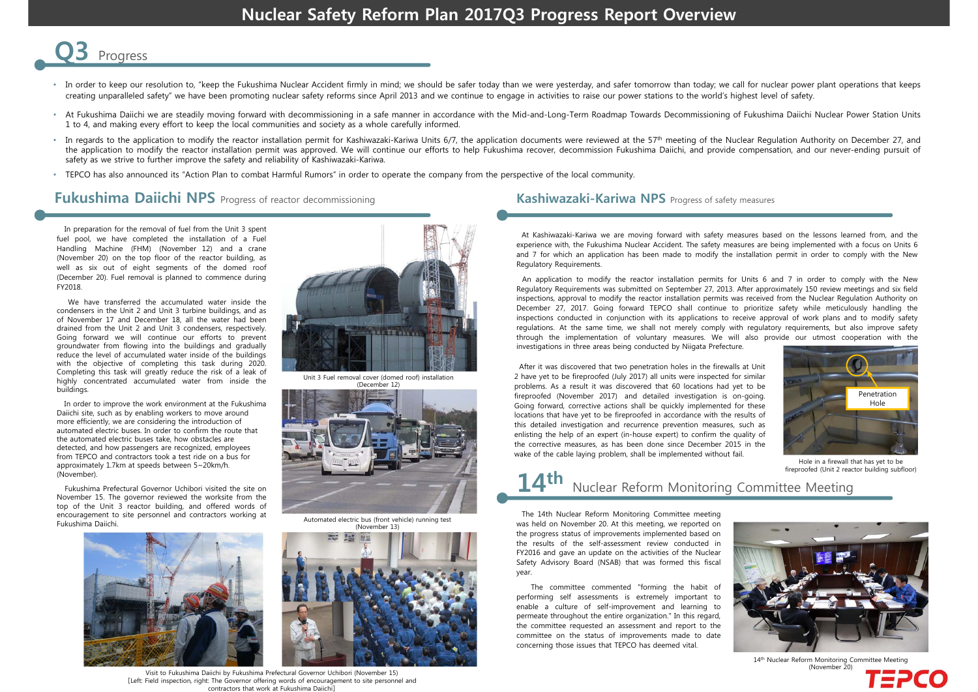# **Nuclear Safety Reform Plan 2017Q3 Progress Report Overview**



- In order to keep our resolution to, "keep the Fukushima Nuclear Accident firmly in mind; we should be safer today than we were yesterday, and safer tomorrow than today; we call for nuclear power plant operations that keeps creating unparalleled safety" we have been promoting nuclear safety reforms since April 2013 and we continue to engage in activities to raise our power stations to the world's highest level of safety.
- At Fukushima Daiichi we are steadily moving forward with decommissioning in <sup>a</sup> safe manner in accordance with the Mid-and-Long-Term Roadmap Towards Decommissioning of Fukushima Daiichi Nuclear Power Station Units 1 to 4, and making every effort to keep the local communities and society as <sup>a</sup> whole carefully informed.
- In regards to the application to modify the reactor installation permit for Kashiwazaki-Kariwa Units 6/7, the application documents were reviewed at the 57<sup>th</sup> meeting of the Nuclear Regulation Authority on December 27, an the application to modify the reactor installation permit was approved. We will continue our efforts to help Fukushima recover, decommission Fukushima Daiichi, and provide compensation, and our never-ending pursuit of safety as we strive to further improve the safety and reliability of Kashiwazaki-Kariwa.
- TEPCO has also announced its "Action Plan to combat Harmful Rumors" in order to operate the company from the perspective of the local community.

### **Fukushima Daiichi NPS** Progress of reactor decommissioning **Kashiwazaki-Kariwa NPS** Progress of safety measures

In preparation for the removal of fuel from the Unit 3 spent fuel pool, we have completed the installation of <sup>a</sup> Fuel Handling Machine (FHM) (November 12) and <sup>a</sup> crane (November 20) on the top floor of the reactor building, as well as six out of eight segments of the domed roof (December 20). Fuel removal is planned to commence during FY2018.

We have transferred the accumulated water inside the condensers in the Unit 2 and Unit 3 turbine buildings, and as of November 17 and December 18, all the water had been drained from the Unit 2 and Unit 3 condensers, respectively. Going forward we will continue our efforts to prevent groundwater from flowing into the buildings and gradually reduce the level of accumulated water inside of the buildings with the objective of completing this task during 2020. Completing this task will greatly reduce the risk of <sup>a</sup> leak of highly concentrated accumulated water from inside the buildings.

In order to improve the work environment at the Fukushima Daiichi site, such as by enabling workers to move around more efficiently, we are considering the introduction of automated electric buses. In order to confirm the route that the automated electric buses take, how obstacles are detected, and how passengers are recognized, employees from TEPCO and contractors took a test ride on a bus for approximately 1.7km at speeds between 5~20km/h. (November).

Fukushima Prefectural Governor Uchibori visited the site on November 15. The governor reviewed the worksite from the top of the Unit 3 reactor building, and offered words of encouragement to site personnel and contractors working at Fukushima Daiichi.





Unit 3 Fuel removal cover (domed roof) installation



Automated electric bus (front vehicle) running test



### Visit to Fukushima Daiichi by Fukushima Prefectural Governor Uchibori (November 15) [Left: Field inspection, right: The Governor offering words of encouragement to site personnel and contractors that work at Fukushima Daiichi]

At Kashiwazaki-Kariwa we are moving forward with safety measures based on the lessons learned from, and the experience with, the Fukushima Nuclear Accident. The safety measures are being implemented with <sup>a</sup> focus on Units 6 and 7 for which an application has been made to modify the installation permit in order to comply with the New Regulatory Requirements.

An application to modify the reactor installation permits for Units 6 and 7 in order to comply with the New Regulatory Requirements was submitted on September 27, 2013. After approximately 150 review meetings and six field inspections, approval to modify the reactor installation permits was received from the Nuclear Regulation Authority on December 27, 2017. Going forward TEPCO shall continue to prioritize safety while meticulously handling the inspections conducted in conjunction with its applications to receive approval of work plans and to modify safety regulations. At the same time, we shall not merely comply with regulatory requirements, but also improve safety through the implementation of voluntary measures. We will also provide our utmost cooperation with the investigations in three areas being conducted by Niigata Prefecture.

After it was discovered that two penetration holes in the firewalls at Unit 2 have yet to be fireproofed (July 2017) all units were inspected for similar problems. As <sup>a</sup> result it was discovered that 60 locations had yet to be fireproofed (November 2017) and detailed investigation is on-going. Going forward, corrective actions shall be quickly implemented for these locations that have yet to be fireproofed in accordance with the results of this detailed investigation and recurrence prevention measures, such as enlisting the help of an expert (in-house expert) to confirm the quality of the corrective measures, as has been done since December 2015 in the wake of the cable laying problem, shall be implemented without fail.



Hole in a firewall that has yet to be<br>fireproofed (Unit 2 reactor building subfloor)

# fireproofed (Unit 2 reactor building subfloor) **14th** Nuclear Reform Monitoring Committee Meeting

The 14th Nuclear Reform Monitoring Committee meeting was held on November 20. At this meeting, we reported on the progress status of improvements implemented based on the results of the self-assessment review conducted in FY2016 and gave an update on the activities of the Nuclear Safety Advisory Board (NSAB) that was formed this fiscal year.

The committee commented "forming the habit of performing self assessments is extremely important to enable <sup>a</sup> culture of self-improvement and learning to permeate throughout the entire organization." In this regard, the committee requested an assessment and report to the committee on the status of improvements made to date concerning those issues that TEPCO has deemed vital.



14th Nuclear Reform Monitoring Committee Meeting (November 20)